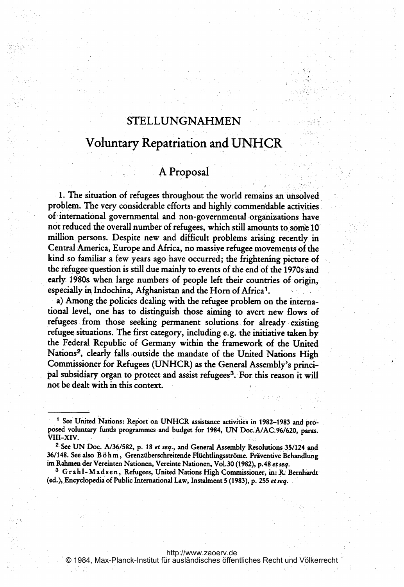## STELLUNGNAHMEN

# Voluntary Repatriation and UNHCR

### A Proposal

1. The situation of refugees throughout the world remains an unsolved problem. The very considerable efforts and highly commendable activities of international governmental and non-governmental organizations have not reduced the overall number of refugees, which still amounts to some 10 million, persons. Despite new and difficult problems arising recently in Central America, Europe and Africa, no massive refugee movements of the kind so familiar <sup>a</sup> few years ago have occurred; the frightening picture of the refugee question is still due mainly to events of the end of the 1970s and early 1980s when large numbers of people left their countries of origin, especially in Indochina, Afghanistan and the Horn of Africa<sup>1</sup>.

a) Among the policies dealing with the refugee problem on the international level, one has to distinguish those aiming to avert new flows of refugees.from those seeking permanent solutions.for already existing refugee situations. The first category, including e.g. the initiative taken by the Federal Republic of Germany within the framework of the United Nations2, clearly falls outside the mandate of the United Nations High Commissioner for Refugees (UNHCR) as. the General Assembly's principal subsidiary organ to protect and assist refugees<sup>3</sup>. For this reason it will not be dealt with in this context.

(ed.), Encyclopedia of Public International Law, Instalment 5 (1983), p. 255 et seq.

<http://www.zaoerv.de> © 1984, Max-Planck-Institut für ausländisches öffentliches Recht und Völkerrecht

<sup>&</sup>lt;sup>1</sup> See United Nations: Report on UNHCR assistance activities in 1982-1983 and proposed voluntary funds programmes and budget for 1984, UN Doc.A/AC.96/620, paras. viii-Xiv.

<sup>&</sup>lt;sup>2</sup> See UN Doc. A/36/582, p. 18 et seq., and General Assembly Resolutions 35/124 and 36/148. See also Böhm, Grenzüberschreitende Flüchtlingsströme. Präventive Behandlung<br>im Rahmen der Vereinten Nationen, Vereinte Nationen, Vol.30 (1982), p.48 *et seq.*<br><sup>3</sup> Grahl-Madsen, Refugees, United Nations High Commis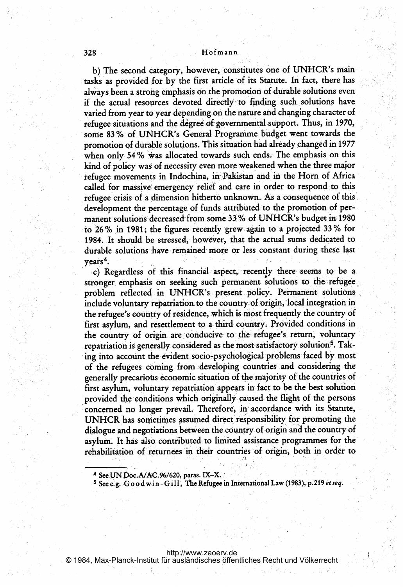#### 328 Hofrnann

b) The second category, however, constitutes one of UNHCR's m tasks as provided for. by the first article of its Statute. In fact, there has always been a strong emphasis on the promotion of durable solutions even if the actual resources devoted directly to finding such solutions have varied from year to year depending on the nature and changing character of refugee situations and the degree of governmental support. Thus, in 1970, some <sup>83</sup> % of UNHCR's General Programme budget went towards the promotion of durable solutions. This, situation had. aiready changed in <sup>1977</sup> when only 54% was allocated towards such ends. The emphasis on this kind of policy was of necessity even more weakened when the three major refugee movements in Indochina, in Pakistan and in the Horn of Africa called for massive emergency relief and care in order to respond to this refugee crisis of a dimension hitherto unknown. As a consequence of this development the percentage of funds attributed to the promotion of permanent solutions decreased from some 33% of UNHCR's budget in 1980 to 26% in 1981; the figures recently grew again to a projected  $33\%$  for 1984. It should be stressed, however, that the actual sums dedicated to durable solutions have remained more or less constant during these last  $years<sup>4</sup>$ .

c) Regardless of this financial aspect, recently there seems to be a stronger emphasis on seeking such permanent solutions to the refugee problem reflected in UNHCR's present policy. Permanent solutions include voluntary repatriation to the country of origin, local integration in the refugee's country of residence, which is most frequently the country of first asylum, and resettlement to a third country. Provided conditions in the country of origin are conducive to the refugee's return, voluntary repatriation is generally considered as the most satisfactory solution<sup>5</sup>. Taking into account the evident socio-psychological problems faced by most of the refugees coming from developing countries and considering the generally precarious economic situation of the majority of the countries of first asylum, voluntary repatriation appears in-fact to be the best solution provided the conditions which originally caused the flight of the persons concerned no longer prevail. Therefore, in accordance with its Statute, UNHCR has sometimes assumed direct responsibility for promoting the dialogue and negotiations between the country of origin and the country of asylum. It has also contributed to limited assistance programmes for the rehabilitation of returnees in their countries of origin, both in order to

- 4 See UN Doc.A/AC.96/620, paras. IX-X.
- <sup>5</sup> See e.g. Good win-Gill, The Refugee in International Law (1983), p.219 et seq.

<http://www.zaoerv.de> © 1984, Max-Planck-Institut für ausländisches öffentliches Recht und Völkerrecht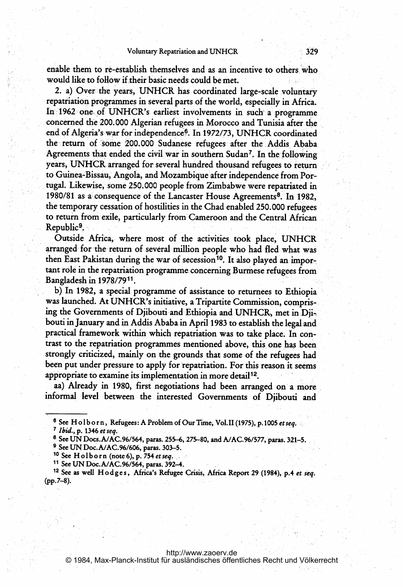enable them to re-establish themselves and as an incentive to others who would like to follow if their basic needs could be met.

2. a) Over the years, UNHCR has coordinated large-scale voluntary repatriation programmes in several parts of the world, especially in Africa. In: 1962 one of UNHCR's earliest involvements in such a programme concerned the 200.000 Algerian refugees in Morocco and Tunisia after the end of Algeria's war for independence<sup>6</sup>. In 1972/73, UNHCR coordinated the return of some 200.000 Sudanese refugees after the Addis Ababa Agreements that ended the civil war in southern Sudan<sup>7</sup>. In the following years, UNHCR arranged for several hundred thousand refugees to return to Guinea-Bissau, Angola, and Mozambique after independence from Portugal. Likewise, some 250.000 people from.Zimbabwe were repatriated in 1980/81 as a consequence of the Lancaster House Agreements<sup>8</sup>. In 1982, the temporary cessation of hostilities in the Chad enabled 250. 000, refugees to return from exile, particularly from Cameroon and the Central African Republic<sup>9</sup>.

Outside.Africa, where most of the activities took place, UNHCR arranged for the return of several million people who had fled what was then East Pakistan during the war of secession<sup>10</sup>. It also played an important role in the repatriation programme- concerning Burmese refugees from Bangladesh in 1978/7911.

b) In 1982, <sup>a</sup> special programme of assistance to returnees to Ethiopia was launched. At UNHCR's initiative, <sup>a</sup> Tripartite Commission, compris ing the Governments of Djibouti and Ethiopia and UNHCR, met in Djibouti in January and in Addis Ababa.in April 1983 to establish the legal and practical framework within which repatriation was to take place. In contrast to the repatriation programmes mentioned above, this, onehas been strongly criticized, mainly on the grounds that some of the refugees had been put under pressure to apply for repatriation. For this reason it seems appropriate to examine its implementation in more detail<sup>12</sup>.

aa) Already in 1980, first negotiations had been arranged on a more informal, level between the interested Governments of Djibouti and

- 
- <sup>8</sup> See UN Docs.A/AC.96/564, paras. 255–6, 275–80, and A/AC.96/577, paras. 321–5.
- <sup>9</sup> See UN Doc.A/AC.96/606, paras. 303-5.
- $10$  See Holborn (note 6), p. 754 et seq.
- <sup>11</sup> See UN Doc.A/AC.96/564, paras. 392-4.

© 1984, Max-Planck-Institut für ausländisches öffentliches Recht und Völkerrecht

<sup>&</sup>lt;sup>6</sup> See Holborn, Refugees: A Problem of Our Time, Vol.II (1975), p.1005 *et seq.*<br>7 *Ibid.*, p. 1346 *et seq*.

<sup>&</sup>lt;sup>12</sup> See as well Hodges, Africa's Refugee Crisis, Africa Report 29 (1984), p.4 et seq. (pp.7-8).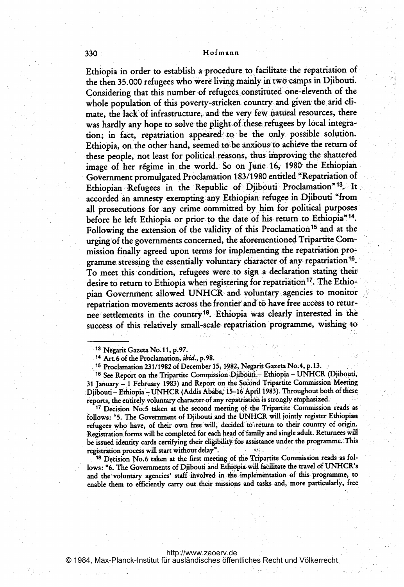#### 330 Hofmann

Ethiopia in order to establish a procedure to facilitate the repatriation of the then 35.000 refugees who were living mainly in two camps in Djibouti. Considering that this number of refugees constituted one-eleventh of the whole population of this poverty-stricken country and given the arid climate, the lack of infrastructure, and the very few natural resources, there was hardly any hope to solve the plight of these refugees by local integration; in fact, repatriation appeared to be the only possible solution. Ethiopia, on the other hand, seemed to be anxious to achieve the return of these people, not least for political reasons, thus improving the shattered image of her régime in the world. So on June 16, 1980 the Ethiopian Government promulgated Proclamation 183/1980 entitled "Repatriation of Ethiopian Refugees in the Republic of Djibouti Proclamation"<sup>13</sup>. It accorded an amnesty exempting any Ethiopian refugee in Djibouti "from all prosecutions for any crime committed by him for political purposes before he left Ethiopia or prior to the date of his return to Ethiopia<sup>"14</sup>. Following the extension of the validity of this Proclamation<sup>15</sup> and at the urging of the governments concerned, the aforementioned Tripartite Commission finally agreed upon terms for implementing the repatriation programme stressing the essentially voluntary character of any repatriation<sup>16</sup>. To meet this condition, refugees. were.to sign a declaration stating their desire to return to Ethiopia when registering for repatriation<sup>17</sup>. The Ethiopian Government allowed UNHCR- and voluntary. agencies to monitor repatriation movements across the frontier and to have free access to returnee settlements in the country<sup>18</sup>. Ethiopia was clearly interested in the success of this relatively small-scale repatriation programme, wishing to

<sup>14</sup> Art.6 of the Proclamation, ibid., p.98.

<sup>15</sup> Proclamation 231/1982 of December 15, 1982, Negarit Gazeta No. 4, p. 13.

<sup>16</sup> See Report on the Tripartite Commission Djibouti - Ethiopia - UNHCR (Djibouti, 31 January - 1 February 1983) and Report on the Second Tripartite Commission Meeting Djibouti – Ethiopia – UNHCR (Addis Ababa; 15–16 April 1983). Throughout both of these reports, the entirely voluntary character of any repatriation is strongly emphasized.

<sup>17</sup> Decision No.5 taken at the second meeting of the Tripartite Commission reads as follows: "5. The Government of Djibouti and the UNHCR will jointly register Ethiopian refugees who have, of their own free will, decided to return to their country of origin. Registration forms will be completed for each head of family and single adult. Returnees will be issued identity cards certifying their eligibility for assistance under the programme. This registration process will start without delay".

<sup>18</sup> Decision No.6 taken at the first meeting of the Tripartite Commission reads as follows: "6. The Governments of Djibouti and Ethiopia will facilitate the travel of UNHCR's and the voluntary agencies' staff involved in the implementation of this programme, to enable them to efficiently carry out their missions and tasks and, more particularly, free

<sup>&</sup>lt;sup>13</sup> Negarit Gazeta No. 11, p. 97.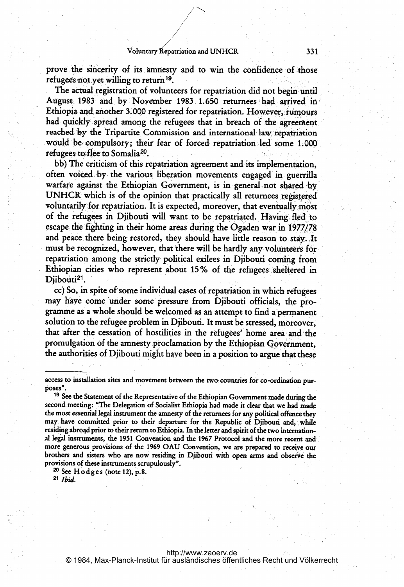prove the sincerity of its amnesty and to win the confidence of those refugees not yet willing to return<sup>19</sup>.

The actual registration of volunteers for repatriation did not begin until August, 1983 and by November 1983 1.650 returnees had arrived in Ethiopia and another 3.000 registered for repatriation. However, rumours had quickly spread among the refugees that in breach of the agreement. reached by the Tripartite Commission and international-law repatriation would be compulsory; their fear of forced repatriation led some 1.000 refugees to flee to Somalia<sup>20</sup>.

bb) The criticism of this repatriation agreement and its implementation, often voiced.by, the various liberation movements engaged in guerrilla warfare against the Ethiopian Government, is in general not shared by UNHCR which is of the opinion that practically all returnees regis voluntarily for repatriation. It is expected, moreover, that eventually most of the refugees in Djibouti will want to be repatriated. Having fled to escape the fighting in their home areas during the Ogaden war in 1977/78 and peace there being restored, they should have little reason to stay. It must be recognized, however, that there will be hardly any volunteers for repatriation among the strictly political exilees in Djibouti coming from Ethiopian cities who represent about 15% of the refugees sheltered in Diibouti<sup>21</sup>.

cc) So, in spite of'some individual cases of repatriation in which. refugees may have come under some pressure from Djibouti officials, the programme as a whole should be welcomed as an attempt to find a permanent solution to the refugee problem in Djibouti. It must be stressed, moreover, that after the cessation of hostilities in the refugees' home area and the promulgation of the amnesty proclamation by the Ethiopian Government, the authorities of Djibouti might have been in a position to argue that these

 $20$  See Hodges (note 12), p.8.

<sup>21</sup> Ibid.

access to installation sites and movement between the two countries for co-ordination purposes".

<sup>&</sup>lt;sup>19</sup> See the Statement of the Representative of the Ethiopian Government made during the second meeting: "The Delegation of Socialist Ethiopia had made it clear that we had made the most essential legal instrument the amnesty of the returnees for any political offence they may have committed prior to their departure for the Republic of Djibouti and, while residing abroqd prior to their return to Ethiopia. In the letter and spirit of the two international legal instruments, the 1951 Convention and the 1967 Protocol and the more recent and more generous provisions of the,1969 OAU Convention, we are prepared to receive our brothers and sisters who are now residing in Djibouti with open arms and observe the provisions of these instruments scrupulously".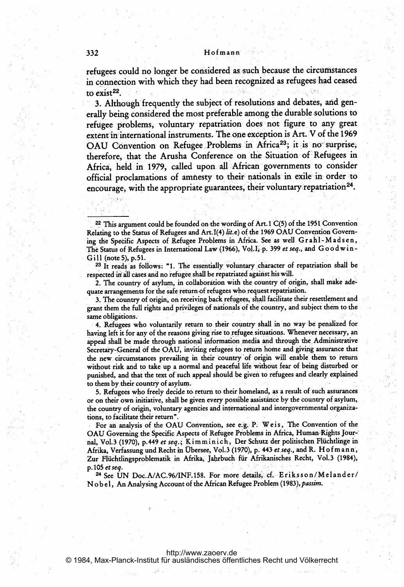refugees could no longer be considered as such because the circumstances in connection with which they had been recognized as refugees had ceased to exist $^{22}$ .

3. Although frequently the subject of resolutions and debates, and generally being considered the most preferable among the durable solutions to refugee problems, voluntary repatriation does not figure to any great extent in international instruments. The one exception is Art. V of the 1969 OAU Convention on Refugee Problems in Africa<sup>23</sup>; it is no surprise therefore, that the Arusha Conference on'the Situation of'Refugees in Africa, held in 1979, called upon all African, governments to consider official proclamations of amnesty to their nationals in exile in order to encourage, with the appropriate guarantees, their voluntary repatriation<sup>24</sup>

<sup>23</sup> It reads as follows: "1. The essentially voluntary character of repatriation shall be respected in all cases and no refugee shall be repatriated against his will.

2. The country of asylum, in collaboration with the country of origin, shall make adequate arrangements for the safe return of refugees who request repatriation.

3. The country of origin, on receiving back refugees, shall facilitate their resettlement and grant them the full rights and privileges of nationals of the country, and subject them.to the same obligations.

4. Refugees who voluntarily return to their country shall in no way-be penalized for having left it for any of the reasons giving rise to refugee situations. Whenever necessary, an appeal shall be made through national information media and through the Administrative Secretary-General of the OAU, inviting refugees to return home and giving assurance that the new circumstances prevailing in their 'country of origin will enable. them to return without risk and to take up <sup>a</sup> normal and peaceful fife without fear of being disturbed or punished, and that the text of such appeal should be given to refugees and clearly explained to them by. their country of asylum.

5. Refugees who freely decide to, return to their homeland, as <sup>a</sup> result of such assurances or on their own initiative, shall be given every possible assistance by the country of asylum, the country of origin, voluntary agencies and international and intergovernmental organizations, to facilitate their return".

For an analysis of the OAU Convention, see e.g. P. Weis, The Convention of the OAU Governing the Specific Aspects of Refugee Problems in Africa, Human-Rights Jour- nal, Vol.3 (1970), p. 449 et seq.; Kimminich, Der Schutz der politischen Flüchtlinge in Afrika, Verfassung und Recht in Übersee, Vol.3 (1970), p. 443 et seq., and R. H of m ann, Zur Flüchtlingsproblematik in Afrika, Jahrbuch für Afrikanisches Recht, Vol.3 (1984), p. 105 et seq.

<sup>24</sup> See UN Doc.A/AC.96/INF.158. For more details' cf,. Er'iksson/Melander/ Nobel, An Analysing Account of the African Refugee Problem (1983), passim.

<sup>&</sup>lt;sup>22</sup> This argument could be founded on the wording of Art. 1 C(5) of the 1951 Convention Relating to the Status of Refugees and Art. I(4) lit.e) of the 1969 OAU Convention Governing the Specific Aspects of Refugee Problems in Africa. See as well Grahl-Madsen, The Status of Refugees in International Law (1966), Vol. I, p. 399 et seq., and Goodwin- $Gill$  (note 5), p.51.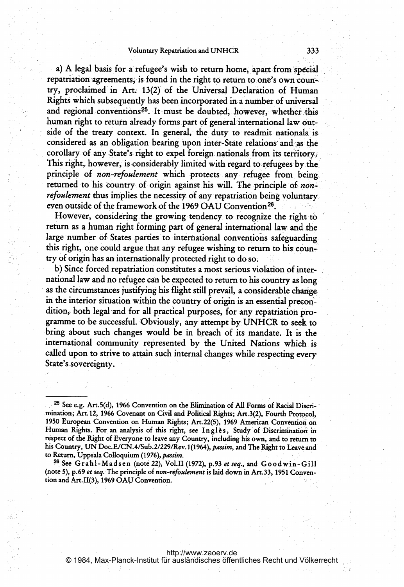#### Voluntary Repatriation and UNHCR 333

a) A legal basis for a refugee's wish to return home, apart from special repatriation agreements, is found in the right to return to one's own country, proclaimed'in Art. 13(2) of the Universal Declaration of Human Rights which subsequently has been incorporated in a number of universal and regional conventions<sup>25</sup>. It must be doubted, however, whether this human right to return already forms part of general international law outside of the treaty context. In general, the duty to readmit nationals is considered as an obligation bearing upon inter-State relations and as the corollary of any State's right to expel foreign nationals from its territory. This right, however, is considerably limited with regard to refugees by the principle of *non-refoulement* which protects any refugee from being. returned to his country of origin against his will. The principle of nonrefoulement thus implies the necessity of any repatriation being voluntary. even outside of the framework of the 1969 OAU Convention<sup>26</sup>.

However, considering the growing tendency to recognize the right to return as a human right forming part of general international law and the large number of States parties to international conventions safeguarding this right, one could argue that any refugee wishing to return to his country of origin has an internationally protected right to do so.

b) Since forced repatriation constitutes a most serious violation of inter national law and no refugee can be expected to return to his country as long as the circumstances justifying his flight still prevail, <sup>a</sup> considerable change. in the interior situation within the country of origin is an essential precon' dition, both legal and for all practical purposes, for any repatriation programme to be successful. Obviously, any attempt by UNHCR to seek to bring about such changes would be in breach of its mandate. It is the international community represented by the United Nations which. is called upon to strive to attain such internal changes while respecting every State's sovereignty.

<sup>26</sup> See Grahl-Mads en (note 22), Vol.II (1972), p.93 et seq., and Goodwin-Gill (note 5), p.69 et seq. The principle of non-refoulement is laid down in Art. 33, 1951 Convention and Art. 11(3), <sup>1969</sup> OAU Convention.

<sup>&</sup>lt;sup>25</sup> See e.g. Art.5(d), 1966 Convention on the Elimination of All Forms of Racial Discrimination; Art. 12, 1966 Covenant on Civil and Political Rights; Art. 3(2), Fourth Protocol, <sup>1950</sup> European Convention on Human Rights; Art.22(5), <sup>1969</sup> American Convention on Human Rights. For an analysis of this right, see Ingles, Study of Discrimination in respect of the Right of Everyone to leave any Country, including his own, and to return to his Country, UN Doc. E/CN.4/Sub.2/229/Rev.1(1964), passim, and The Right to Leave and to Return, Uppsala Colloquium (1976), passim.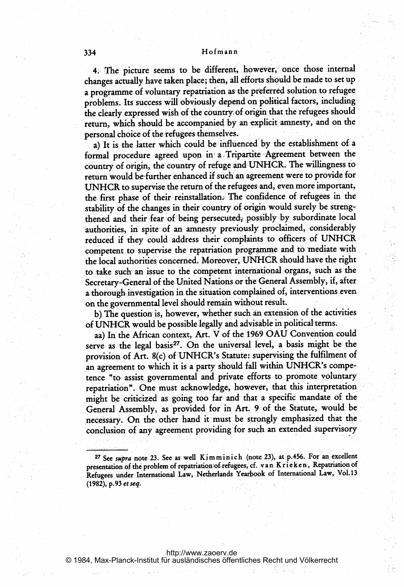#### <sup>334</sup> Hofmann

4. The picture seems to be different, however, once those internal changes actually have taken place; then, all efforts should be made to set up a programme of voluntary repatriation as the preferred solution to refugee problems. Its success will obviously depend on political factors, including the clearly expressed wish of the country of origin that the refugees should return, which should be accompanied by an explicit annesty, and on the personal choice of the refugees themselves.

a) It is the latter which could be influenced by the establishment of a formal procedure agreed upon in a Tripartite Agreement between the country of origin, the country of refuge and UNHCR. The willingness to return would be further enhanced if such an agreement were to provide for UNHCR to supervise the return of the refugees and, even more important, the first phase of their reinstallation. The confidence of refugees in the stability of the changes in their country of origin would surely be strengthened and their fear of being persecuted, possibly by subordinate local authorities, in spite of an amnesty previously proclaimed, considerably reduced if they could address their complaints to officers of UNHCR competent to supervise the repatriation programme and to mediate with the local authorities concerned. Moreover, UNHCR should have the right to take such an issue to the competent international organs, such as the Secretary-General of the United Nations or the General Assembly, if, after a thorough investigation in the situation complained of, interventions even. on the governmental level should remain without result.

b) The question is, however, whether such an extension of the activities of UNHCR would be possible legally and advisable in political terms.

aa) In the African context, Art. V of the 1969 OAU Convention could serve as the legal basis<sup>27</sup>. On the universal level, a basis might be the provision of Art. 8(c) of UNHCR's Statute: supervising the fulfilment of an agreement to which it is a party should fall within UNHCR's competence "to assist governmental and private efforts to promote voluntary repatriation". One must acknowledge, however, that this interpretation, might be criticized as going too far and that <sup>a</sup> specific mandate of the General Assembly, as provided fot in Art. <sup>9</sup> of the Statute, would be necessary. On the other hand it must be strongly emphasized that the conclusion of any agreement providing for such an extended supervisory

<sup>&</sup>lt;sup>27</sup> See supra note 23. See as well Kimminich (note 23), at p.456. For an excellent presentation of the problem of repatriation of refugees, cf. van Krieken, Repatriation of Refugees under International Law, Netherlands Yearbook of International Law, Vol.13 (1982), p. 93 et seq.